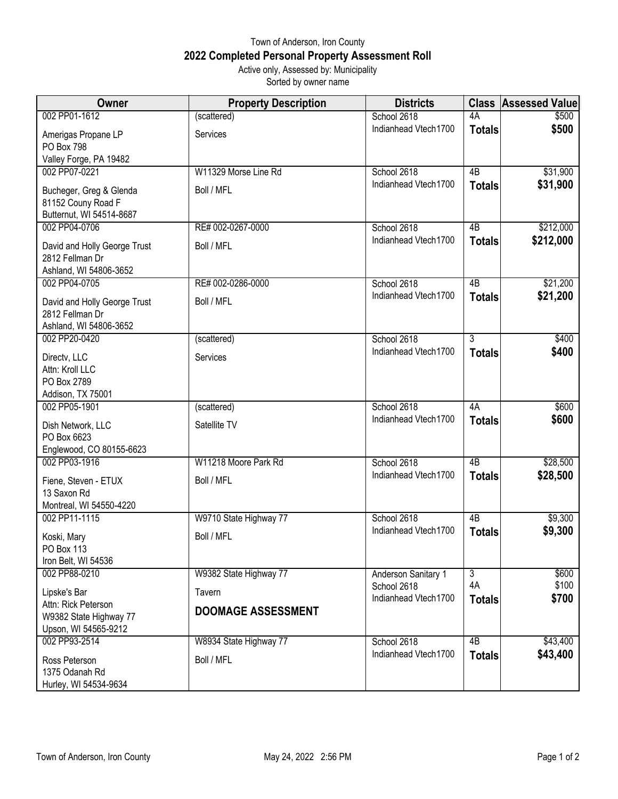## Town of Anderson, Iron County **2022 Completed Personal Property Assessment Roll** Active only, Assessed by: Municipality

Sorted by owner name

| Owner                                   | <b>Property Description</b> | <b>Districts</b>                    | <b>Class</b>    | <b>Assessed Value</b> |
|-----------------------------------------|-----------------------------|-------------------------------------|-----------------|-----------------------|
| 002 PP01-1612                           | (scattered)                 | School 2618                         | 4A              | \$500                 |
| Amerigas Propane LP                     | Services                    | Indianhead Vtech1700                | <b>Totals</b>   | \$500                 |
| PO Box 798                              |                             |                                     |                 |                       |
| Valley Forge, PA 19482                  |                             |                                     |                 |                       |
| 002 PP07-0221                           | W11329 Morse Line Rd        | School 2618                         | 4B              | \$31,900              |
| Bucheger, Greg & Glenda                 | Boll / MFL                  | Indianhead Vtech1700                | <b>Totals</b>   | \$31,900              |
| 81152 Couny Road F                      |                             |                                     |                 |                       |
| Butternut, WI 54514-8687                |                             |                                     |                 |                       |
| 002 PP04-0706                           | RE# 002-0267-0000           | School 2618<br>Indianhead Vtech1700 | 4B              | \$212,000             |
| David and Holly George Trust            | Boll / MFL                  |                                     | <b>Totals</b>   | \$212,000             |
| 2812 Fellman Dr                         |                             |                                     |                 |                       |
| Ashland, WI 54806-3652                  |                             |                                     |                 |                       |
| 002 PP04-0705                           | RE# 002-0286-0000           | School 2618<br>Indianhead Vtech1700 | $\overline{AB}$ | \$21,200<br>\$21,200  |
| David and Holly George Trust            | Boll / MFL                  |                                     | <b>Totals</b>   |                       |
| 2812 Fellman Dr                         |                             |                                     |                 |                       |
| Ashland, WI 54806-3652<br>002 PP20-0420 | (scattered)                 | School 2618                         | $\overline{3}$  | \$400                 |
|                                         |                             | Indianhead Vtech1700                | <b>Totals</b>   | \$400                 |
| Directv, LLC                            | Services                    |                                     |                 |                       |
| Attn: Kroll LLC<br>PO Box 2789          |                             |                                     |                 |                       |
| Addison, TX 75001                       |                             |                                     |                 |                       |
| 002 PP05-1901                           | (scattered)                 | School 2618                         | 4A              | \$600                 |
| Dish Network, LLC                       | Satellite TV                | Indianhead Vtech1700                | <b>Totals</b>   | \$600                 |
| PO Box 6623                             |                             |                                     |                 |                       |
| Englewood, CO 80155-6623                |                             |                                     |                 |                       |
| 002 PP03-1916                           | W11218 Moore Park Rd        | School 2618                         | $\overline{AB}$ | \$28,500              |
| Fiene, Steven - ETUX                    | Boll / MFL                  | Indianhead Vtech1700                | <b>Totals</b>   | \$28,500              |
| 13 Saxon Rd                             |                             |                                     |                 |                       |
| Montreal, WI 54550-4220                 |                             |                                     |                 |                       |
| 002 PP11-1115                           | W9710 State Highway 77      | School 2618                         | 4B              | \$9,300               |
| Koski, Mary                             | Boll / MFL                  | Indianhead Vtech1700                | <b>Totals</b>   | \$9,300               |
| PO Box 113                              |                             |                                     |                 |                       |
| Iron Belt, WI 54536                     |                             |                                     |                 |                       |
| 002 PP88-0210                           | W9382 State Highway 77      | <b>Anderson Sanitary 1</b>          | $\overline{3}$  | \$600                 |
| Lipske's Bar                            | Tavern                      | School 2618<br>Indianhead Vtech1700 | 4A              | \$100<br>\$700        |
| Attn: Rick Peterson                     | <b>DOOMAGE ASSESSMENT</b>   |                                     | <b>Totals</b>   |                       |
| W9382 State Highway 77                  |                             |                                     |                 |                       |
| Upson, WI 54565-9212<br>002 PP93-2514   | W8934 State Highway 77      | School 2618                         | 4B              | \$43,400              |
|                                         |                             | Indianhead Vtech1700                | <b>Totals</b>   | \$43,400              |
| Ross Peterson                           | Boll / MFL                  |                                     |                 |                       |
| 1375 Odanah Rd                          |                             |                                     |                 |                       |
| Hurley, WI 54534-9634                   |                             |                                     |                 |                       |